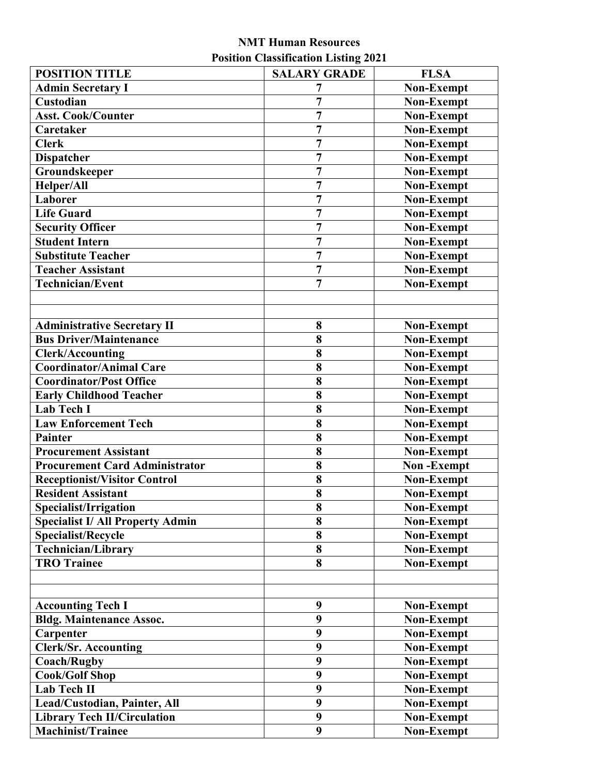## **NMT Human Resources Position Classification Listing 2021**

| <b>POSITION TITLE</b>                   | <b>SALARY GRADE</b>     | <b>FLSA</b>       |
|-----------------------------------------|-------------------------|-------------------|
| <b>Admin Secretary I</b>                | 7                       | Non-Exempt        |
| Custodian                               | $\overline{7}$          | <b>Non-Exempt</b> |
| <b>Asst. Cook/Counter</b>               | $\overline{7}$          | <b>Non-Exempt</b> |
| Caretaker                               | $\overline{7}$          | <b>Non-Exempt</b> |
| <b>Clerk</b>                            | $\overline{7}$          | Non-Exempt        |
| <b>Dispatcher</b>                       | $\overline{7}$          | <b>Non-Exempt</b> |
| Groundskeeper                           | $\overline{7}$          | <b>Non-Exempt</b> |
| Helper/All                              | 7                       | <b>Non-Exempt</b> |
| Laborer                                 | $\overline{7}$          | <b>Non-Exempt</b> |
| <b>Life Guard</b>                       | $\overline{7}$          | <b>Non-Exempt</b> |
| <b>Security Officer</b>                 | $\overline{7}$          | Non-Exempt        |
| <b>Student Intern</b>                   | $\overline{7}$          | <b>Non-Exempt</b> |
| Substitute Teacher                      | 7                       | Non-Exempt        |
| <b>Teacher Assistant</b>                | $\overline{7}$          | <b>Non-Exempt</b> |
| <b>Technician/Event</b>                 | $\overline{7}$          | <b>Non-Exempt</b> |
|                                         |                         |                   |
|                                         |                         |                   |
| <b>Administrative Secretary II</b>      | 8                       | <b>Non-Exempt</b> |
| <b>Bus Driver/Maintenance</b>           | 8                       | Non-Exempt        |
| <b>Clerk/Accounting</b>                 | 8                       | <b>Non-Exempt</b> |
| <b>Coordinator/Animal Care</b>          | 8                       | <b>Non-Exempt</b> |
| <b>Coordinator/Post Office</b>          | 8                       | Non-Exempt        |
| <b>Early Childhood Teacher</b>          | $\overline{\mathbf{8}}$ | Non-Exempt        |
| <b>Lab Tech I</b>                       | 8                       | <b>Non-Exempt</b> |
| <b>Law Enforcement Tech</b>             | 8                       | <b>Non-Exempt</b> |
| <b>Painter</b>                          | 8                       | Non-Exempt        |
| <b>Procurement Assistant</b>            | 8                       | Non-Exempt        |
| <b>Procurement Card Administrator</b>   | 8                       | <b>Non-Exempt</b> |
| Receptionist/Visitor Control            | 8                       | Non-Exempt        |
| <b>Resident Assistant</b>               | 8                       | <b>Non-Exempt</b> |
| Specialist/Irrigation                   | 8                       | Non-Exempt        |
| <b>Specialist I/ All Property Admin</b> | 8                       | <b>Non-Exempt</b> |
| <b>Specialist/Recycle</b>               | 8                       | <b>Non-Exempt</b> |
| <b>Technician/Library</b>               | 8                       | <b>Non-Exempt</b> |
| <b>TRO Trainee</b>                      | 8                       | <b>Non-Exempt</b> |
|                                         |                         |                   |
|                                         |                         |                   |
| <b>Accounting Tech I</b>                | 9                       | <b>Non-Exempt</b> |
| <b>Bldg. Maintenance Assoc.</b>         | 9                       | <b>Non-Exempt</b> |
| Carpenter                               | 9                       | Non-Exempt        |
| <b>Clerk/Sr. Accounting</b>             | 9                       | <b>Non-Exempt</b> |
| <b>Coach/Rugby</b>                      | 9                       | <b>Non-Exempt</b> |
| <b>Cook/Golf Shop</b>                   | 9                       | <b>Non-Exempt</b> |
| <b>Lab Tech II</b>                      | 9                       | <b>Non-Exempt</b> |
| Lead/Custodian, Painter, All            | 9                       | Non-Exempt        |
| <b>Library Tech II/Circulation</b>      | 9                       | <b>Non-Exempt</b> |
| <b>Machinist/Trainee</b>                | 9                       | <b>Non-Exempt</b> |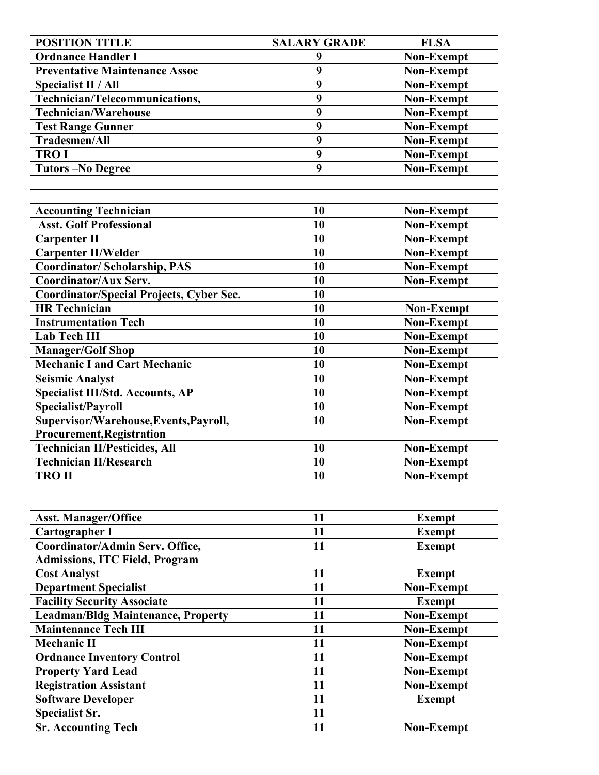| <b>POSITION TITLE</b>                                      | <b>SALARY GRADE</b> | <b>FLSA</b>       |
|------------------------------------------------------------|---------------------|-------------------|
| <b>Ordnance Handler I</b>                                  | 9                   | <b>Non-Exempt</b> |
| <b>Preventative Maintenance Assoc</b>                      | 9                   | <b>Non-Exempt</b> |
| <b>Specialist II / All</b>                                 | 9                   | <b>Non-Exempt</b> |
| Technician/Telecommunications,                             | 9                   | <b>Non-Exempt</b> |
| <b>Technician/Warehouse</b>                                | 9                   | <b>Non-Exempt</b> |
| <b>Test Range Gunner</b>                                   | 9                   | <b>Non-Exempt</b> |
| <b>Tradesmen/All</b>                                       | 9                   | <b>Non-Exempt</b> |
| <b>TROI</b>                                                | 9                   | <b>Non-Exempt</b> |
| <b>Tutors-No Degree</b>                                    | 9                   | <b>Non-Exempt</b> |
|                                                            |                     |                   |
|                                                            |                     |                   |
| <b>Accounting Technician</b>                               | 10                  | <b>Non-Exempt</b> |
| <b>Asst. Golf Professional</b>                             | 10                  | <b>Non-Exempt</b> |
| <b>Carpenter II</b>                                        | 10                  | Non-Exempt        |
| <b>Carpenter II/Welder</b>                                 | 10                  | <b>Non-Exempt</b> |
| <b>Coordinator/Scholarship, PAS</b>                        | 10                  | <b>Non-Exempt</b> |
| <b>Coordinator/Aux Serv.</b>                               | 10                  | <b>Non-Exempt</b> |
| Coordinator/Special Projects, Cyber Sec.                   | 10                  |                   |
| <b>HR</b> Technician                                       | 10                  | Non-Exempt        |
| <b>Instrumentation Tech</b>                                | 10                  | <b>Non-Exempt</b> |
| <b>Lab Tech III</b>                                        | 10                  | <b>Non-Exempt</b> |
| <b>Manager/Golf Shop</b>                                   | 10                  | <b>Non-Exempt</b> |
| <b>Mechanic I and Cart Mechanic</b>                        | 10                  | <b>Non-Exempt</b> |
| <b>Seismic Analyst</b>                                     | 10                  | <b>Non-Exempt</b> |
| <b>Specialist III/Std. Accounts, AP</b>                    | 10                  | <b>Non-Exempt</b> |
| <b>Specialist/Payroll</b>                                  | 10                  | Non-Exempt        |
| Supervisor/Warehouse, Events, Payroll,                     | 10                  | <b>Non-Exempt</b> |
| <b>Procurement, Registration</b>                           |                     |                   |
| <b>Technician II/Pesticides, All</b>                       | 10                  | <b>Non-Exempt</b> |
| <b>Technician II/Research</b>                              | 10                  | Non-Exempt        |
| <b>TRO II</b>                                              | 10                  | Non-Exempt        |
|                                                            |                     |                   |
|                                                            |                     |                   |
| <b>Asst. Manager/Office</b>                                | 11                  | <b>Exempt</b>     |
| <b>Cartographer I</b>                                      | 11                  | <b>Exempt</b>     |
| Coordinator/Admin Serv. Office,                            | 11                  | <b>Exempt</b>     |
| <b>Admissions, ITC Field, Program</b>                      |                     |                   |
| <b>Cost Analyst</b>                                        | 11                  | <b>Exempt</b>     |
| <b>Department Specialist</b>                               | 11                  | <b>Non-Exempt</b> |
| <b>Facility Security Associate</b>                         | 11                  | <b>Exempt</b>     |
| <b>Leadman/Bldg Maintenance, Property</b>                  | 11                  | Non-Exempt        |
| <b>Maintenance Tech III</b>                                | 11                  | <b>Non-Exempt</b> |
| <b>Mechanic II</b>                                         | 11                  | <b>Non-Exempt</b> |
| <b>Ordnance Inventory Control</b>                          | 11                  | <b>Non-Exempt</b> |
| <b>Property Yard Lead</b>                                  | 11                  | <b>Non-Exempt</b> |
|                                                            | 11                  |                   |
| <b>Registration Assistant</b><br><b>Software Developer</b> | 11                  | <b>Non-Exempt</b> |
|                                                            | 11                  | <b>Exempt</b>     |
| <b>Specialist Sr.</b>                                      |                     |                   |
| <b>Sr. Accounting Tech</b>                                 | 11                  | <b>Non-Exempt</b> |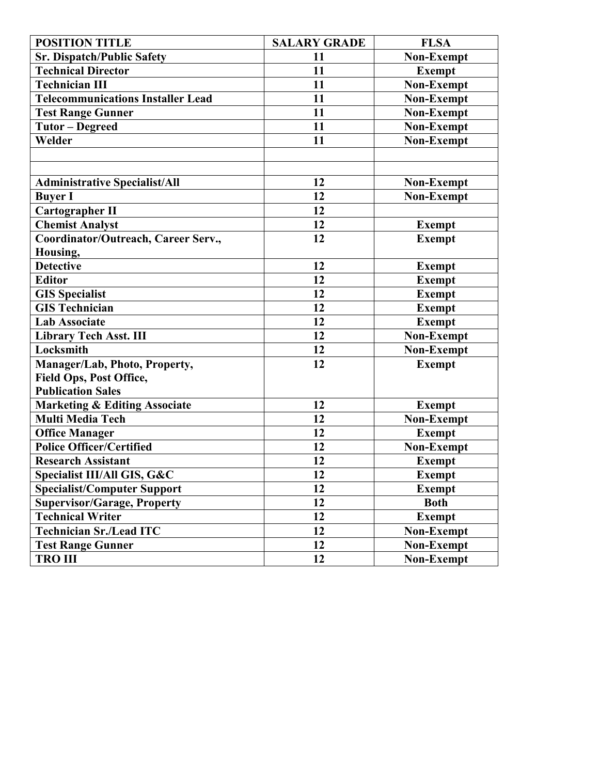| <b>POSITION TITLE</b>                    | <b>SALARY GRADE</b> | <b>FLSA</b>       |
|------------------------------------------|---------------------|-------------------|
| <b>Sr. Dispatch/Public Safety</b>        | 11                  | <b>Non-Exempt</b> |
| <b>Technical Director</b>                | 11                  | <b>Exempt</b>     |
| <b>Technician III</b>                    | 11                  | <b>Non-Exempt</b> |
| <b>Telecommunications Installer Lead</b> | 11                  | Non-Exempt        |
| <b>Test Range Gunner</b>                 | 11                  | <b>Non-Exempt</b> |
| <b>Tutor - Degreed</b>                   | 11                  | Non-Exempt        |
| Welder                                   | 11                  | <b>Non-Exempt</b> |
|                                          |                     |                   |
|                                          |                     |                   |
| <b>Administrative Specialist/All</b>     | 12                  | Non-Exempt        |
| <b>Buyer I</b>                           | 12                  | Non-Exempt        |
| <b>Cartographer II</b>                   | 12                  |                   |
| <b>Chemist Analyst</b>                   | 12                  | <b>Exempt</b>     |
| Coordinator/Outreach, Career Serv.,      | 12                  | <b>Exempt</b>     |
| Housing,                                 |                     |                   |
| <b>Detective</b>                         | 12                  | <b>Exempt</b>     |
| <b>Editor</b>                            | 12                  | <b>Exempt</b>     |
| <b>GIS Specialist</b>                    | 12                  | <b>Exempt</b>     |
| <b>GIS Technician</b>                    | 12                  | <b>Exempt</b>     |
| <b>Lab Associate</b>                     | 12                  | <b>Exempt</b>     |
| <b>Library Tech Asst. III</b>            | 12                  | <b>Non-Exempt</b> |
| Locksmith                                | 12                  | Non-Exempt        |
| Manager/Lab, Photo, Property,            | 12                  | <b>Exempt</b>     |
| Field Ops, Post Office,                  |                     |                   |
| <b>Publication Sales</b>                 |                     |                   |
| <b>Marketing &amp; Editing Associate</b> | 12                  | <b>Exempt</b>     |
| <b>Multi Media Tech</b>                  | 12                  | <b>Non-Exempt</b> |
| <b>Office Manager</b>                    | 12                  | <b>Exempt</b>     |
| <b>Police Officer/Certified</b>          | 12                  | Non-Exempt        |
| <b>Research Assistant</b>                | 12                  | <b>Exempt</b>     |
| Specialist III/All GIS, G&C              | 12                  | <b>Exempt</b>     |
| <b>Specialist/Computer Support</b>       | 12                  | <b>Exempt</b>     |
| <b>Supervisor/Garage, Property</b>       | 12                  | <b>Both</b>       |
| <b>Technical Writer</b>                  | 12                  | <b>Exempt</b>     |
| <b>Technician Sr./Lead ITC</b>           | 12                  | <b>Non-Exempt</b> |
| <b>Test Range Gunner</b>                 | 12                  | <b>Non-Exempt</b> |
| <b>TRO III</b>                           | 12                  | <b>Non-Exempt</b> |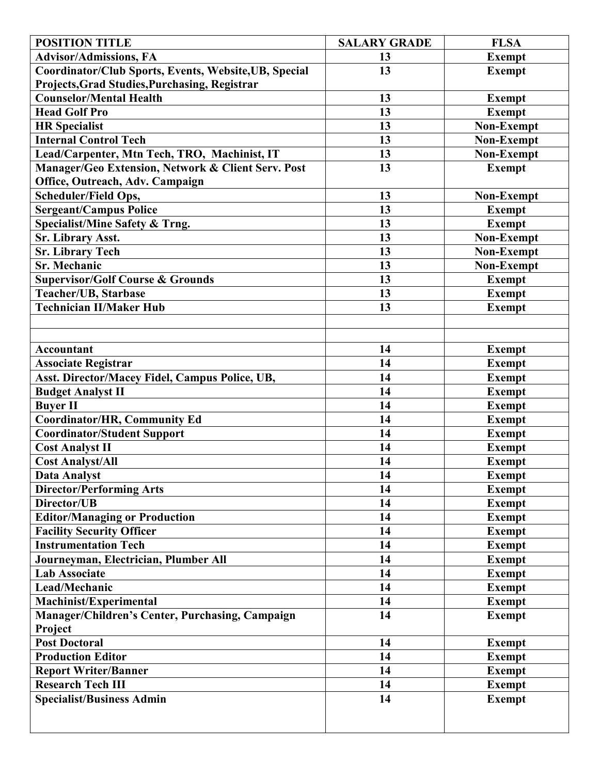| <b>POSITION TITLE</b>                                 | <b>SALARY GRADE</b> | <b>FLSA</b>       |
|-------------------------------------------------------|---------------------|-------------------|
| <b>Advisor/Admissions, FA</b>                         | 13                  | <b>Exempt</b>     |
| Coordinator/Club Sports, Events, Website, UB, Special | 13                  | <b>Exempt</b>     |
| Projects, Grad Studies, Purchasing, Registrar         |                     |                   |
| <b>Counselor/Mental Health</b>                        | 13                  | <b>Exempt</b>     |
| <b>Head Golf Pro</b>                                  | 13                  | <b>Exempt</b>     |
| <b>HR Specialist</b>                                  | 13                  | Non-Exempt        |
| <b>Internal Control Tech</b>                          | 13                  | Non-Exempt        |
| Lead/Carpenter, Mtn Tech, TRO, Machinist, IT          | 13                  | <b>Non-Exempt</b> |
| Manager/Geo Extension, Network & Client Serv. Post    | 13                  | <b>Exempt</b>     |
| Office, Outreach, Adv. Campaign                       |                     |                   |
| Scheduler/Field Ops,                                  | 13                  | <b>Non-Exempt</b> |
| <b>Sergeant/Campus Police</b>                         | 13                  | <b>Exempt</b>     |
| Specialist/Mine Safety & Trng.                        | 13                  | <b>Exempt</b>     |
| Sr. Library Asst.                                     | 13                  | Non-Exempt        |
| <b>Sr. Library Tech</b>                               | 13                  | <b>Non-Exempt</b> |
| <b>Sr. Mechanic</b>                                   | 13                  | <b>Non-Exempt</b> |
| <b>Supervisor/Golf Course &amp; Grounds</b>           | 13                  | <b>Exempt</b>     |
| <b>Teacher/UB, Starbase</b>                           | 13                  | <b>Exempt</b>     |
| <b>Technician II/Maker Hub</b>                        | 13                  | <b>Exempt</b>     |
|                                                       |                     |                   |
|                                                       |                     |                   |
| <b>Accountant</b>                                     | 14                  | <b>Exempt</b>     |
| <b>Associate Registrar</b>                            | 14                  | <b>Exempt</b>     |
| Asst. Director/Macey Fidel, Campus Police, UB,        | 14                  | <b>Exempt</b>     |
| <b>Budget Analyst II</b>                              | 14                  | <b>Exempt</b>     |
| <b>Buyer II</b>                                       | 14                  | <b>Exempt</b>     |
| Coordinator/HR, Community Ed                          | 14                  | <b>Exempt</b>     |
| <b>Coordinator/Student Support</b>                    | 14                  | <b>Exempt</b>     |
| <b>Cost Analyst II</b>                                | 14                  | <b>Exempt</b>     |
| <b>Cost Analyst/All</b>                               | 14                  | <b>Exempt</b>     |
| <b>Data Analyst</b>                                   | 14                  | Exempt            |
| <b>Director/Performing Arts</b>                       | 14                  | <b>Exempt</b>     |
| Director/UB                                           | 14                  | <b>Exempt</b>     |
| <b>Editor/Managing or Production</b>                  | 14                  | <b>Exempt</b>     |
| <b>Facility Security Officer</b>                      | 14                  | <b>Exempt</b>     |
| <b>Instrumentation Tech</b>                           | 14                  | <b>Exempt</b>     |
| Journeyman, Electrician, Plumber All                  | 14                  | <b>Exempt</b>     |
| <b>Lab Associate</b>                                  | 14                  | <b>Exempt</b>     |
| Lead/Mechanic                                         | 14                  | <b>Exempt</b>     |
| Machinist/Experimental                                | 14                  | <b>Exempt</b>     |
| Manager/Children's Center, Purchasing, Campaign       | 14                  | <b>Exempt</b>     |
| Project                                               |                     |                   |
| <b>Post Doctoral</b>                                  | 14                  | <b>Exempt</b>     |
| <b>Production Editor</b>                              | 14                  | <b>Exempt</b>     |
| <b>Report Writer/Banner</b>                           | 14                  | <b>Exempt</b>     |
| <b>Research Tech III</b>                              | 14                  | <b>Exempt</b>     |
| <b>Specialist/Business Admin</b>                      | 14                  | <b>Exempt</b>     |
|                                                       |                     |                   |
|                                                       |                     |                   |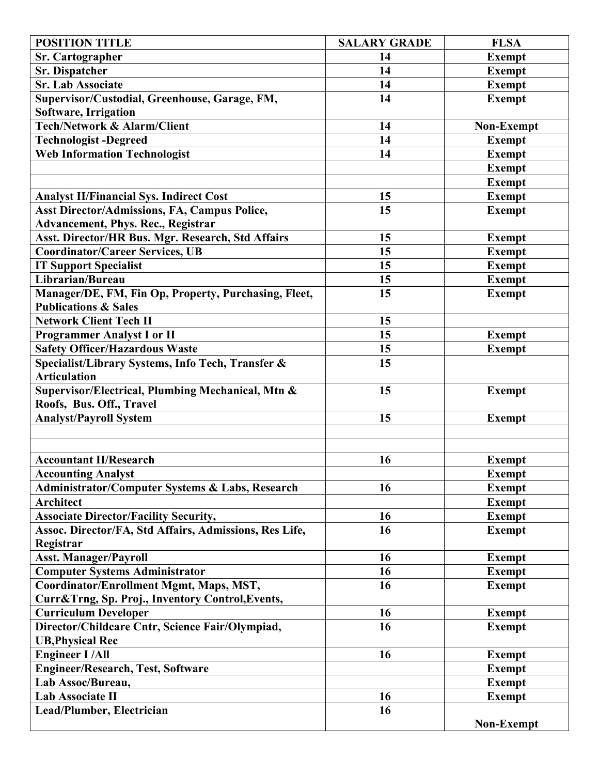| <b>POSITION TITLE</b>                                      | <b>SALARY GRADE</b> | <b>FLSA</b>       |
|------------------------------------------------------------|---------------------|-------------------|
| <b>Sr. Cartographer</b>                                    | 14                  | <b>Exempt</b>     |
| <b>Sr. Dispatcher</b>                                      | 14                  | <b>Exempt</b>     |
| <b>Sr. Lab Associate</b>                                   | 14                  | <b>Exempt</b>     |
| Supervisor/Custodial, Greenhouse, Garage, FM,              | 14                  | <b>Exempt</b>     |
| Software, Irrigation                                       |                     |                   |
| <b>Tech/Network &amp; Alarm/Client</b>                     | 14                  | Non-Exempt        |
| <b>Technologist-Degreed</b>                                | 14                  | <b>Exempt</b>     |
| <b>Web Information Technologist</b>                        | 14                  | <b>Exempt</b>     |
|                                                            |                     | <b>Exempt</b>     |
|                                                            |                     | <b>Exempt</b>     |
| <b>Analyst II/Financial Sys. Indirect Cost</b>             | 15                  | <b>Exempt</b>     |
| Asst Director/Admissions, FA, Campus Police,               | 15                  | <b>Exempt</b>     |
| <b>Advancement, Phys. Rec., Registrar</b>                  |                     |                   |
| Asst. Director/HR Bus. Mgr. Research, Std Affairs          | 15                  | <b>Exempt</b>     |
| <b>Coordinator/Career Services, UB</b>                     | 15                  | <b>Exempt</b>     |
| <b>IT Support Specialist</b>                               | 15                  | <b>Exempt</b>     |
| Librarian/Bureau                                           | 15                  | <b>Exempt</b>     |
| Manager/DE, FM, Fin Op, Property, Purchasing, Fleet,       | 15                  | <b>Exempt</b>     |
| <b>Publications &amp; Sales</b>                            |                     |                   |
| <b>Network Client Tech II</b>                              | 15                  |                   |
| <b>Programmer Analyst I or II</b>                          | 15                  | <b>Exempt</b>     |
| <b>Safety Officer/Hazardous Waste</b>                      | 15                  | <b>Exempt</b>     |
| Specialist/Library Systems, Info Tech, Transfer &          | 15                  |                   |
| <b>Articulation</b>                                        |                     |                   |
| Supervisor/Electrical, Plumbing Mechanical, Mtn &          | 15                  | <b>Exempt</b>     |
| Roofs, Bus. Off., Travel                                   |                     |                   |
| <b>Analyst/Payroll System</b>                              | 15                  | <b>Exempt</b>     |
|                                                            |                     |                   |
|                                                            |                     |                   |
| <b>Accountant II/Research</b>                              | 16                  | <b>Exempt</b>     |
| <b>Accounting Analyst</b>                                  |                     | <b>Exempt</b>     |
| <b>Administrator/Computer Systems &amp; Labs, Research</b> | 16                  | <b>Exempt</b>     |
| <b>Architect</b>                                           |                     | <b>Exempt</b>     |
| <b>Associate Director/Facility Security,</b>               | 16                  | <b>Exempt</b>     |
| Assoc. Director/FA, Std Affairs, Admissions, Res Life,     | 16                  | <b>Exempt</b>     |
| Registrar                                                  |                     |                   |
| <b>Asst. Manager/Payroll</b>                               | 16                  | <b>Exempt</b>     |
| <b>Computer Systems Administrator</b>                      | <b>16</b>           | <b>Exempt</b>     |
| Coordinator/Enrollment Mgmt, Maps, MST,                    | 16                  | <b>Exempt</b>     |
| Curr&Trng, Sp. Proj., Inventory Control, Events,           |                     |                   |
| <b>Curriculum Developer</b>                                | 16                  | <b>Exempt</b>     |
| Director/Childcare Cntr, Science Fair/Olympiad,            | 16                  | <b>Exempt</b>     |
| <b>UB, Physical Rec</b>                                    |                     |                   |
| <b>Engineer I/All</b>                                      | 16                  | <b>Exempt</b>     |
| <b>Engineer/Research, Test, Software</b>                   |                     | <b>Exempt</b>     |
| Lab Assoc/Bureau,                                          |                     | <b>Exempt</b>     |
| Lab Associate II                                           | 16                  | <b>Exempt</b>     |
| Lead/Plumber, Electrician                                  | 16                  |                   |
|                                                            |                     | <b>Non-Exempt</b> |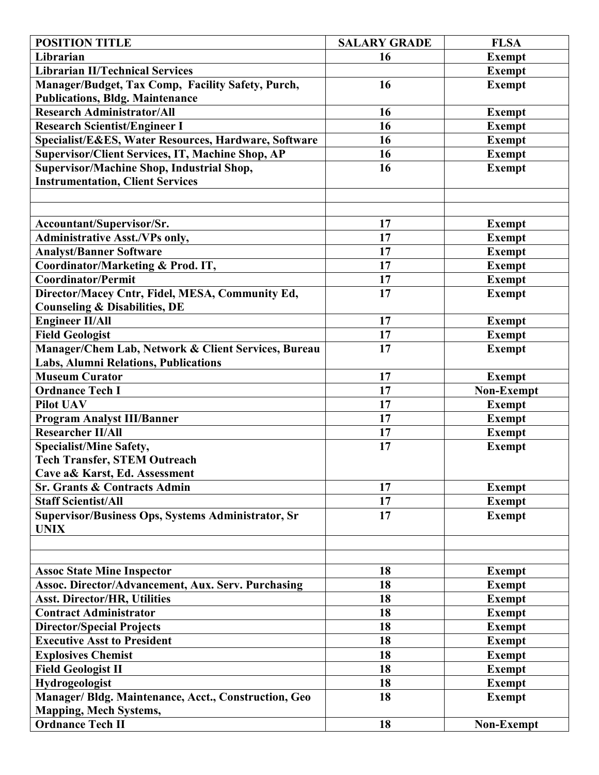| <b>POSITION TITLE</b>                                                                       | <b>SALARY GRADE</b> | <b>FLSA</b>   |
|---------------------------------------------------------------------------------------------|---------------------|---------------|
| Librarian                                                                                   | 16                  | <b>Exempt</b> |
| <b>Librarian II/Technical Services</b>                                                      |                     | <b>Exempt</b> |
| Manager/Budget, Tax Comp, Facility Safety, Purch,                                           | 16                  | <b>Exempt</b> |
| <b>Publications, Bldg. Maintenance</b>                                                      |                     |               |
| <b>Research Administrator/All</b>                                                           | 16                  | <b>Exempt</b> |
| <b>Research Scientist/Engineer I</b>                                                        | 16                  | <b>Exempt</b> |
| Specialist/E&ES, Water Resources, Hardware, Software                                        | 16                  | <b>Exempt</b> |
| Supervisor/Client Services, IT, Machine Shop, AP                                            | 16                  | <b>Exempt</b> |
| Supervisor/Machine Shop, Industrial Shop,                                                   | 16                  | <b>Exempt</b> |
| <b>Instrumentation, Client Services</b>                                                     |                     |               |
|                                                                                             |                     |               |
|                                                                                             |                     |               |
| Accountant/Supervisor/Sr.                                                                   | 17                  | <b>Exempt</b> |
| <b>Administrative Asst./VPs only,</b>                                                       | 17                  | <b>Exempt</b> |
| <b>Analyst/Banner Software</b>                                                              | 17                  | <b>Exempt</b> |
| Coordinator/Marketing & Prod. IT,                                                           | 17                  | <b>Exempt</b> |
| <b>Coordinator/Permit</b>                                                                   | 17                  | <b>Exempt</b> |
| Director/Macey Cntr, Fidel, MESA, Community Ed,                                             | 17                  | <b>Exempt</b> |
| <b>Counseling &amp; Disabilities, DE</b>                                                    |                     |               |
| <b>Engineer II/All</b>                                                                      | 17                  | <b>Exempt</b> |
| <b>Field Geologist</b>                                                                      | 17                  |               |
|                                                                                             | 17                  | <b>Exempt</b> |
| Manager/Chem Lab, Network & Client Services, Bureau<br>Labs, Alumni Relations, Publications |                     | <b>Exempt</b> |
| <b>Museum Curator</b>                                                                       | 17                  |               |
|                                                                                             | 17                  | <b>Exempt</b> |
| <b>Ordnance Tech I</b>                                                                      |                     | Non-Exempt    |
| <b>Pilot UAV</b>                                                                            | 17                  | <b>Exempt</b> |
| <b>Program Analyst III/Banner</b>                                                           | 17                  | <b>Exempt</b> |
| <b>Researcher II/All</b>                                                                    | 17                  | <b>Exempt</b> |
| <b>Specialist/Mine Safety,</b>                                                              | 17                  | <b>Exempt</b> |
| <b>Tech Transfer, STEM Outreach</b>                                                         |                     |               |
| Cave a& Karst, Ed. Assessment                                                               |                     |               |
| <b>Sr. Grants &amp; Contracts Admin</b>                                                     | 17                  | <b>Exempt</b> |
| <b>Staff Scientist/All</b>                                                                  | 17                  | <b>Exempt</b> |
| Supervisor/Business Ops, Systems Administrator, Sr                                          | 17                  | <b>Exempt</b> |
| <b>UNIX</b>                                                                                 |                     |               |
|                                                                                             |                     |               |
|                                                                                             |                     |               |
| <b>Assoc State Mine Inspector</b>                                                           | 18                  | <b>Exempt</b> |
| <b>Assoc. Director/Advancement, Aux. Serv. Purchasing</b>                                   | 18                  | <b>Exempt</b> |
| <b>Asst. Director/HR, Utilities</b>                                                         | 18                  | <b>Exempt</b> |
| <b>Contract Administrator</b>                                                               | 18                  | <b>Exempt</b> |
| <b>Director/Special Projects</b>                                                            | 18                  | <b>Exempt</b> |
| <b>Executive Asst to President</b>                                                          | 18                  | <b>Exempt</b> |
| <b>Explosives Chemist</b>                                                                   | 18                  | <b>Exempt</b> |
| <b>Field Geologist II</b>                                                                   | 18                  | <b>Exempt</b> |
| Hydrogeologist                                                                              | 18                  | <b>Exempt</b> |
| Manager/ Bldg. Maintenance, Acct., Construction, Geo<br><b>Mapping, Mech Systems,</b>       | 18                  | <b>Exempt</b> |
| <b>Ordnance Tech II</b>                                                                     | 18                  | Non-Exempt    |
|                                                                                             |                     |               |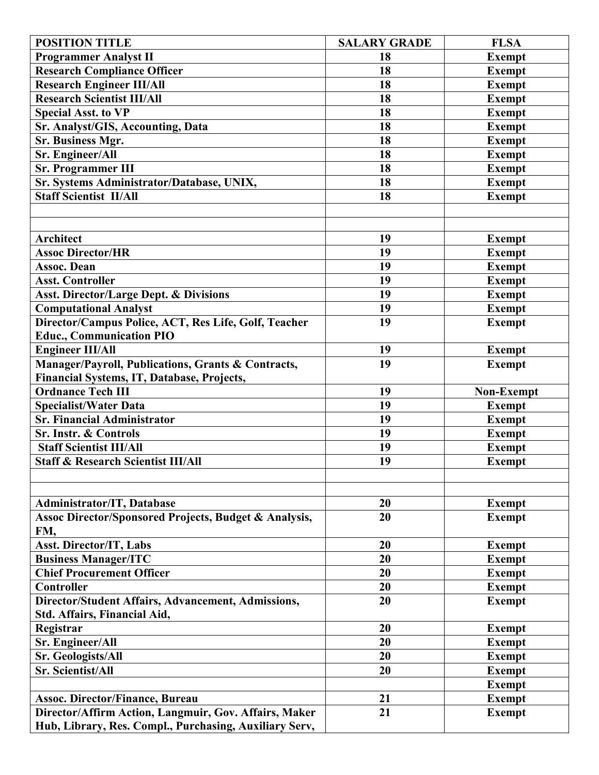| <b>POSITION TITLE</b>                                            | <b>SALARY GRADE</b> | <b>FLSA</b>   |
|------------------------------------------------------------------|---------------------|---------------|
| <b>Programmer Analyst II</b>                                     | 18                  | <b>Exempt</b> |
| <b>Research Compliance Officer</b>                               | 18                  | <b>Exempt</b> |
| <b>Research Engineer III/All</b>                                 | 18                  | <b>Exempt</b> |
| <b>Research Scientist III/All</b>                                | 18                  | <b>Exempt</b> |
| <b>Special Asst. to VP</b>                                       | 18                  | <b>Exempt</b> |
| Sr. Analyst/GIS, Accounting, Data                                | 18                  | <b>Exempt</b> |
| Sr. Business Mgr.                                                | 18                  | <b>Exempt</b> |
| Sr. Engineer/All                                                 | 18                  | <b>Exempt</b> |
| <b>Sr. Programmer III</b>                                        | 18                  | <b>Exempt</b> |
| Sr. Systems Administrator/Database, UNIX,                        | 18                  | <b>Exempt</b> |
| <b>Staff Scientist II/All</b>                                    | 18                  | <b>Exempt</b> |
|                                                                  |                     |               |
|                                                                  |                     |               |
| <b>Architect</b>                                                 | 19                  | <b>Exempt</b> |
| <b>Assoc Director/HR</b>                                         | 19                  | <b>Exempt</b> |
| <b>Assoc. Dean</b>                                               | 19                  | <b>Exempt</b> |
| <b>Asst. Controller</b>                                          | 19                  | <b>Exempt</b> |
| <b>Asst. Director/Large Dept. &amp; Divisions</b>                | 19                  | <b>Exempt</b> |
| <b>Computational Analyst</b>                                     | 19                  | <b>Exempt</b> |
| Director/Campus Police, ACT, Res Life, Golf, Teacher             | 19                  | <b>Exempt</b> |
| <b>Educ., Communication PIO</b>                                  |                     |               |
| <b>Engineer III/All</b>                                          | 19                  | <b>Exempt</b> |
| Manager/Payroll, Publications, Grants & Contracts,               | 19                  | <b>Exempt</b> |
| Financial Systems, IT, Database, Projects,                       |                     |               |
| <b>Ordnance Tech III</b>                                         | 19                  | Non-Exempt    |
| <b>Specialist/Water Data</b>                                     | 19                  | <b>Exempt</b> |
| <b>Sr. Financial Administrator</b>                               | 19                  | <b>Exempt</b> |
| Sr. Instr. & Controls                                            | 19                  | <b>Exempt</b> |
| <b>Staff Scientist III/All</b>                                   | 19                  | <b>Exempt</b> |
| <b>Staff &amp; Research Scientist III/All</b>                    | 19                  | <b>Exempt</b> |
|                                                                  |                     |               |
|                                                                  |                     |               |
| Administrator/IT, Database                                       | 20                  | <b>Exempt</b> |
| <b>Assoc Director/Sponsored Projects, Budget &amp; Analysis,</b> | 20                  | <b>Exempt</b> |
| FM,                                                              |                     |               |
| <b>Asst. Director/IT, Labs</b>                                   | 20                  | <b>Exempt</b> |
| <b>Business Manager/ITC</b>                                      | 20                  | <b>Exempt</b> |
| <b>Chief Procurement Officer</b>                                 | 20                  | <b>Exempt</b> |
| <b>Controller</b>                                                | 20                  | <b>Exempt</b> |
| Director/Student Affairs, Advancement, Admissions,               | 20                  | <b>Exempt</b> |
| Std. Affairs, Financial Aid,                                     |                     |               |
| Registrar                                                        | 20                  | <b>Exempt</b> |
| Sr. Engineer/All                                                 | 20                  | <b>Exempt</b> |
| Sr. Geologists/All                                               | 20                  | <b>Exempt</b> |
| Sr. Scientist/All                                                | 20                  | <b>Exempt</b> |
|                                                                  |                     | <b>Exempt</b> |
| <b>Assoc. Director/Finance, Bureau</b>                           | 21                  | <b>Exempt</b> |
| Director/Affirm Action, Langmuir, Gov. Affairs, Maker            | 21                  | <b>Exempt</b> |
| Hub, Library, Res. Compl., Purchasing, Auxiliary Serv,           |                     |               |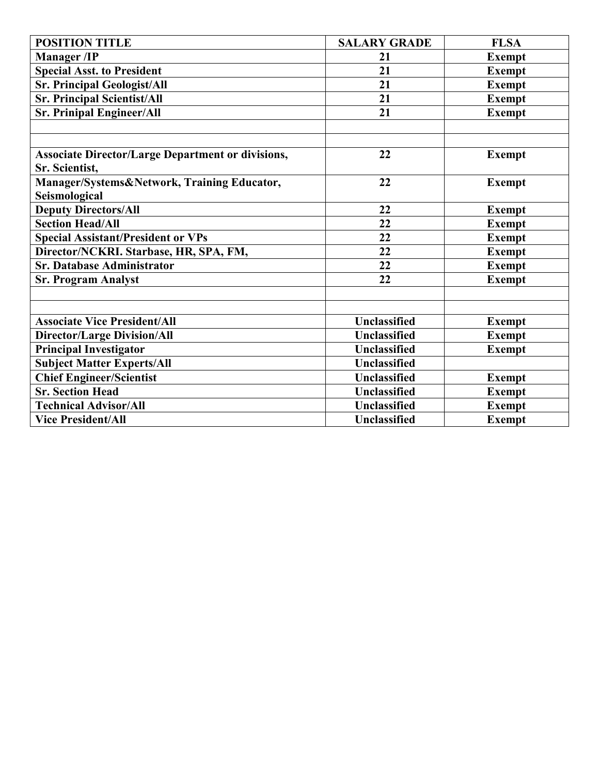| <b>POSITION TITLE</b>                                    | <b>SALARY GRADE</b> | <b>FLSA</b>   |
|----------------------------------------------------------|---------------------|---------------|
| <b>Manager</b> /IP                                       | 21                  | <b>Exempt</b> |
| <b>Special Asst. to President</b>                        | 21                  | <b>Exempt</b> |
| <b>Sr. Principal Geologist/All</b>                       | 21                  | <b>Exempt</b> |
| <b>Sr. Principal Scientist/All</b>                       | 21                  | <b>Exempt</b> |
| <b>Sr. Prinipal Engineer/All</b>                         | 21                  | <b>Exempt</b> |
|                                                          |                     |               |
|                                                          |                     |               |
| <b>Associate Director/Large Department or divisions,</b> | 22                  | <b>Exempt</b> |
| Sr. Scientist,                                           |                     |               |
| Manager/Systems&Network, Training Educator,              | 22                  | <b>Exempt</b> |
| Seismological                                            |                     |               |
| <b>Deputy Directors/All</b>                              | 22                  | <b>Exempt</b> |
| <b>Section Head/All</b>                                  | 22                  | <b>Exempt</b> |
| <b>Special Assistant/President or VPs</b>                | 22                  | <b>Exempt</b> |
| Director/NCKRI. Starbase, HR, SPA, FM,                   | 22                  | <b>Exempt</b> |
| <b>Sr. Database Administrator</b>                        | 22                  | <b>Exempt</b> |
| <b>Sr. Program Analyst</b>                               | 22                  | <b>Exempt</b> |
|                                                          |                     |               |
|                                                          |                     |               |
| <b>Associate Vice President/All</b>                      | <b>Unclassified</b> | <b>Exempt</b> |
| <b>Director/Large Division/All</b>                       | Unclassified        | <b>Exempt</b> |
| <b>Principal Investigator</b>                            | <b>Unclassified</b> | <b>Exempt</b> |
| <b>Subject Matter Experts/All</b>                        | <b>Unclassified</b> |               |
| <b>Chief Engineer/Scientist</b>                          | <b>Unclassified</b> | <b>Exempt</b> |
| <b>Sr. Section Head</b>                                  | <b>Unclassified</b> | <b>Exempt</b> |
| <b>Technical Advisor/All</b>                             | <b>Unclassified</b> | <b>Exempt</b> |
| <b>Vice President/All</b>                                | Unclassified        | <b>Exempt</b> |